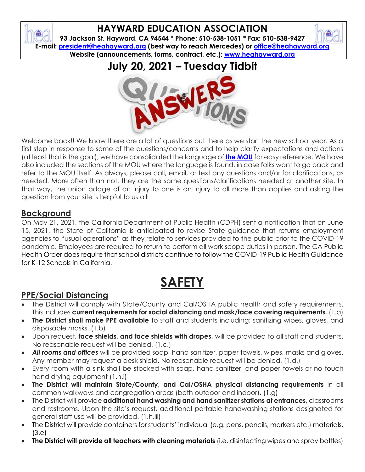## **HAYWARD EDUCATION ASSOCIATION**

**93 Jackson St. Hayward, CA 94544 \* Phone: 510-538-1051 \* Fax: 510-538-9427 E-mail: [president@heahayward.org](mailto:president@heahayward.org) (best way to reach Mercedes) or [office@heahayward.org](mailto:office@heahayward.org) Website (announcements, forms, contract, etc.): [www.heahayward.org](http://www.heahayward.org/)**

## **July 20, 2021 – Tuesday Tidbit**



Welcome back!! We know there are a lot of questions out there as we start the new school year. As a first step in response to some of the questions/concerns and to help clarify expectations and actions (at least that is the goal), we have consolidated the language of **[the MOU](https://drive.google.com/file/d/14Jfe488LrTtTwGICYJMFgsAUQxH0f6Z-/view?usp=sharing)** for easy reference. We have also included the sections of the MOU where the language is found, in case folks want to go back and refer to the MOU itself. As always, please call, email, or text any questions and/or for clarifications, as needed. More often than not, they are the same questions/clarifications needed at another site. In that way, the union adage of an injury to one is an injury to all more than applies and asking the question from your site is helpful to us all!

#### **Background**

On May 21, 2021, the California Department of Public Health (CDPH) sent a notification that on June 15, 2021, the State of California is anticipated to revise State guidance that returns employment agencies to "usual operations" as they relate to services provided to the public prior to the COVID-19 pandemic. Employees are required to return to perform all work scope duties in person. The CA Public Health Order does require that school districts continue to follow the COVID-19 Public Health Guidance for K-12 Schools in California.

# **SAFETY**

## **PPE/Social Distancing**

- The District will comply with State/County and Cal/OSHA public health and safety requirements. This includes **current requirements for social distancing and mask/face covering requirements.** (1.a)
- **The District shall make PPE available** to staff and students including: sanitizing wipes, gloves, and disposable masks. (1.b)
- Upon request, **face shields, and face shields with drapes,** will be provided to all staff and students. No reasonable request will be denied. (1.c.)
- *All rooms and offices* will be provided soap, hand sanitizer, paper towels, wipes, masks and gloves. Any member may request a desk shield. No reasonable request will be denied. (1.d.)
- Every room with a sink shall be stocked with soap, hand sanitizer, and paper towels or no touch hand drying equipment (1.h.i)
- **The District will maintain State/County, and Cal/OSHA physical distancing requirements** in all common walkways and congregation areas (both outdoor and indoor). (1.g)
- The District will provide **additional hand washing and hand sanitizer stations at entrances,** classrooms and restrooms. Upon the site's request, additional portable handwashing stations designated for general staff use will be provided. (1.h.iii)
- The District will provide containers for students' individual (e.g. pens, pencils, markers etc.) materials. (3.e)
- **The District will provide all teachers with cleaning materials** (i.e. disinfecting wipes and spray bottles)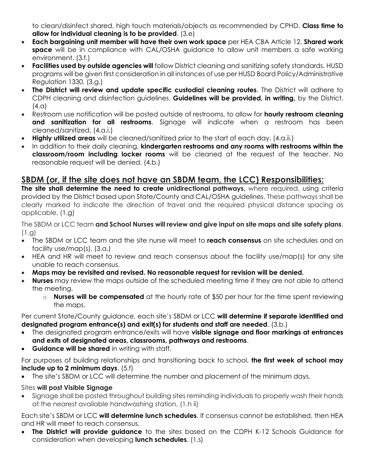to clean/disinfect shared, high touch materials/objects as recommended by CPHD. **Class time to allow for individual cleaning is to be provided**. (3.e)

- **Each bargaining unit member will have their own work space** per HEA CBA Article 12. **Shared work space** will be in compliance with CAL/OSHA guidance to allow unit members a safe working environment. (3.f.)
- **Facilities used by outside agencies will** follow District cleaning and sanitizing safety standards. HUSD programs will be given first consideration in all instances of use per HUSD Board Policy/Administrative Regulation 1330. (3.g.)
- **The District will review and update specific custodial cleaning routes**. The District will adhere to CDPH cleaning and disinfection guidelines. **Guidelines will be provided, in writing,** by the District.  $(4.a)$
- Restroom use notification will be posted outside of restrooms, to allow for **hourly restroom cleaning and sanitization for all restrooms**. Signage will indicate when a restroom has been cleaned/sanitized. (4.a.i.)
- **Highly utilized areas** will be cleaned/sanitized prior to the start of each day. (4.a.ii.)
- In addition to their daily cleaning, **kindergarten restrooms and any rooms with restrooms within the classroom/room including locker rooms** will be cleaned at the request of the teacher. No reasonable request will be denied. (4.b.)

## **SBDM (or, if the site does not have an SBDM team, the LCC) Responsibilities:**

**The site shall determine the need to create unidirectional pathways,** where required, using criteria provided by the District based upon State/County and CAL/OSHA guidelines. These pathways shall be clearly marked to indicate the direction of travel and the required physical distance spacing as applicable. (1.g)

The SBDM or LCC team **and School Nurses will review and give input on site maps and site safety plans**. (1.g)

- The SBDM or LCC team and the site nurse will meet to **reach consensus** on site schedules and on facility use/map(s). (3.a.)
- HEA and HR will meet to review and reach consensus about the facility use/map(s) for any site unable to reach consensus.
- **Maps may be revisited and revised. No reasonable request for revision will be denied.**
- **Nurses** may review the maps outside of the scheduled meeting time if they are not able to attend the meeting.
	- o **Nurses will be compensated** at the hourly rate of \$50 per hour for the time spent reviewing the maps.

Per current State/County guidance, each site's SBDM or LCC **will determine if separate identified and designated program entrance(s) and exit(s) for students and staff are needed**. (3.b.)

- The designated program entrance/exits will have **visible signage and floor markings at entrances and exits of designated areas, classrooms, pathways and restrooms**.
- **Guidance will be shared** in writing with staff.

For purposes of building relationships and transitioning back to school, **the first week of school may include up to 2 minimum days**. (5.f)

The site's SBDM or LCC will determine the number and placement of the minimum days.

#### Sites **will post Visible Signage**

• Signage shall be posted throughout building sites reminding individuals to properly wash their hands at the nearest available handwashing station. (1.h ii)

Each site's SBDM or LCC **will determine lunch schedules**. If consensus cannot be established, then HEA and HR will meet to reach consensus.

• **The District will provide guidance** to the sites based on the CDPH K-12 Schools Guidance for consideration when developing **lunch schedules**. (1.s)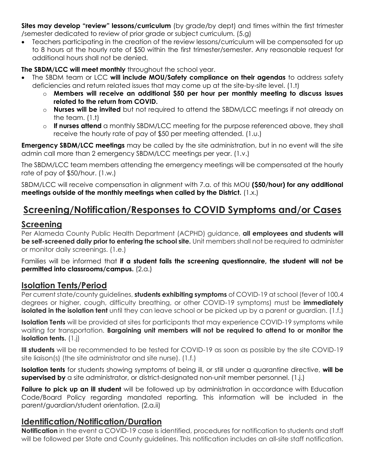**Sites may develop "review" lessons/curriculum** (by grade/by dept) and times within the first trimester /semester dedicated to review of prior grade or subject curriculum. (5.g)

• Teachers participating in the creation of the review lessons/curriculum will be compensated for up to 8 hours at the hourly rate of \$50 within the first trimester/semester. Any reasonable request for additional hours shall not be denied.

**The SBDM/LCC will meet monthly** throughout the school year.

- The SBDM team or LCC **will include MOU/Safety compliance on their agendas** to address safety deficiencies and return related issues that may come up at the site-by-site level. (1.t)
	- o **Members will receive an additional \$50 per hour per monthly meeting to discuss issues related to the return from COVID.**
	- o **Nurses will be invited** but not required to attend the SBDM/LCC meetings if not already on the team. (1.t)
	- o **If nurses attend** a monthly SBDM/LCC meeting for the purpose referenced above, they shall receive the hourly rate of pay of \$50 per meeting attended. (1.u.)

**Emergency SBDM/LCC meetings** may be called by the site administration, but in no event will the site admin call more than 2 emergency SBDM/LCC meetings per year. (1.v.)

The SBDM/LCC team members attending the emergency meetings will be compensated at the hourly rate of pay of \$50/hour. (1.w.)

SBDM/LCC will receive compensation in alignment with 7.a. of this MOU **(\$50/hour) for any additional meetings outside of the monthly meetings when called by the District.** (1.x.)

## **Screening/Notification/Responses to COVID Symptoms and/or Cases**

#### **Screening**

Per Alameda County Public Health Department (ACPHD) guidance, **all employees and students will be self-screened daily prior to entering the school site.** Unit members shall not be required to administer or monitor daily screenings. (1.e.)

Families will be informed that **if a student fails the screening questionnaire, the student will not be permitted into classrooms/campus.** (2.a.)

#### **Isolation Tents/Period**

Per current state/county guidelines, **students exhibiting symptoms** of COVID-19 at school (fever of 100.4 degrees or higher, cough, difficulty breathing, or other COVID-19 symptoms) must be **immediately isolated in the isolation tent** until they can leave school or be picked up by a parent or guardian. (1.f.)

**Isolation Tents** will be provided at sites for participants that may experience COVID-19 symptoms while waiting for transportation. **Bargaining unit members will not be required to attend to or monitor the isolation tents.** (1.j)

**Ill students** will be recommended to be tested for COVID-19 as soon as possible by the site COVID-19 site liaison(s) (the site administrator and site nurse). (1.f.)

**Isolation tents** for students showing symptoms of being ill, or still under a quarantine directive, **will be supervised by** a site administrator, or district-designated non-unit member personnel. (1.j.)

**Failure to pick up an ill student** will be followed up by administration in accordance with Education Code/Board Policy regarding mandated reporting. This information will be included in the parent/guardian/student orientation. (2.a.ii)

#### **Identification/Notification/Duration**

**Notification** in the event a COVID-19 case is identified, procedures for notification to students and staff will be followed per State and County guidelines. This notification includes an all-site staff notification.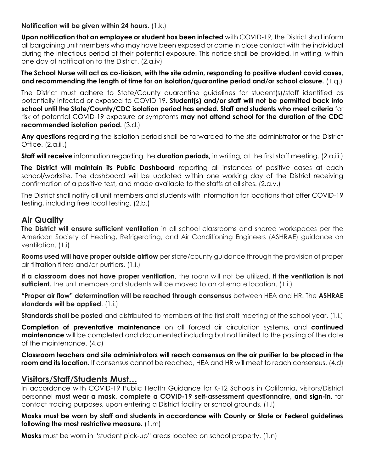**Notification will be given within 24 hours.** (1.k.)

**Upon notification that an employee or student has been infected** with COVID-19, the District shall inform all bargaining unit members who may have been exposed or come in close contact with the individual during the infectious period of their potential exposure. This notice shall be provided, in writing, within one day of notification to the District. (2.a.iv)

**The School Nurse will act as co-liaison, with the site admin, responding to positive student covid cases, and recommending the length of time for an isolation/quarantine period and/or school closure.** (1.q.)

The District must adhere to State/County quarantine guidelines for student(s)/staff identified as potentially infected or exposed to COVID-19. **Student(s) and/or staff will not be permitted back into school until the State/County/CDC isolation period has ended. Staff and students who meet criteria** for risk of potential COVID-19 exposure or symptoms **may not attend school for the duration of the CDC recommended isolation period.** (3.d.)

**Any questions** regarding the isolation period shall be forwarded to the site administrator or the District Office. (2.a.iii.)

**Staff will receive** information regarding the **duration periods,** in writing, at the first staff meeting. (2.a.iii.)

**The District will maintain its Public Dashboard** reporting all instances of positive cases at each school/worksite. The dashboard will be updated within one working day of the District receiving confirmation of a positive test, and made available to the staffs at all sites. (2.a.v.)

The District shall notify all unit members and students with information for locations that offer COVID-19 testing, including free local testing. (2.b.)

#### **Air Quality**

**The District will ensure sufficient ventilation** in all school classrooms and shared workspaces per the American Society of Heating, Refrigerating, and Air Conditioning Engineers (ASHRAE) guidance on ventilation. (1.i)

**Rooms used will have proper outside airflow** per state/county guidance through the provision of proper air filtration filters and/or purifiers. (1.i.)

**If a classroom does not have proper ventilation**, the room will not be utilized. **If the ventilation is not sufficient**, the unit members and students will be moved to an alternate location. (1.i.)

**"Proper air flow" determination will be reached through consensus** between HEA and HR. The **ASHRAE standards will be applied**. (1.i.)

**Standards shall be posted** and distributed to members at the first staff meeting of the school year. (1.i.)

**Completion of preventative maintenance** on all forced air circulation systems, and **continued maintenance** will be completed and documented including but not limited to the posting of the date of the maintenance. (4.c)

**Classroom teachers and site administrators will reach consensus on the air purifier to be placed in the room and its location.** If consensus cannot be reached, HEA and HR will meet to reach consensus. (4.d)

#### **Visitors/Staff/Students Must…**

In accordance with COVID-19 Public Health Guidance for K-12 Schools in California, visitors/District personnel **must wear a mask, complete a COVID-19 self-assessment questionnaire, and sign-in,** for contact tracing purposes, upon entering a District facility or school grounds. (1.l)

**Masks must be worn by staff and students in accordance with County or State or Federal guidelines following the most restrictive measure.** (1.m)

**Masks** must be worn in "student pick-up" areas located on school property. (1.n)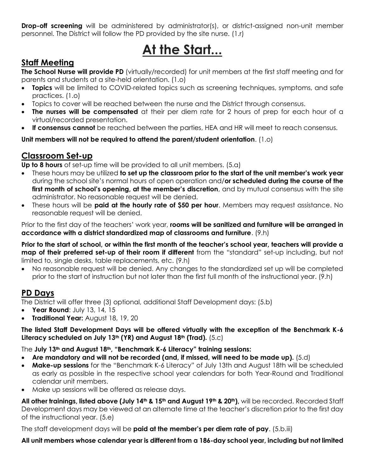**Drop-off screening** will be administered by administrator(s), or district-assigned non-unit member personnel. The District will follow the PD provided by the site nurse. (1.r)

# **At the Start...**

### **Staff Meeting**

**The School Nurse will provide PD** (virtually/recorded) for unit members at the first staff meeting and for parents and students at a site-held orientation. (1.o)

- **Topics** will be limited to COVID-related topics such as screening techniques, symptoms, and safe practices. (1.o)
- Topics to cover will be reached between the nurse and the District through consensus.
- **The nurses will be compensated** at their per diem rate for 2 hours of prep for each hour of a virtual/recorded presentation.
- **If consensus cannot** be reached between the parties, HEA and HR will meet to reach consensus.

**Unit members will not be required to attend the parent/student orientation**. (1.o)

## **Classroom Set-up**

**Up to 8 hours** of set-up time will be provided to all unit members. (5.a)

- These hours may be utilized **to set up the classroom prior to the start of the unit member's work year**  during the school site's normal hours of open operation and/**or scheduled during the course of the first month of school's opening, at the member's discretion**, and by mutual consensus with the site administrator. No reasonable request will be denied.
- These hours will be **paid at the hourly rate of \$50 per hour**. Members may request assistance. No reasonable request will be denied.

Prior to the first day of the teachers' work year, **rooms will be sanitized and furniture will be arranged in accordance with a district standardized map of classrooms and furniture**. (9.h)

**Prior to the start of school, or within the first month of the teacher's school year, teachers will provide a map of their preferred set-up of their room if different** from the "standard" set-up including, but not limited to, single desks, table replacements, etc. (9.h)

• No reasonable request will be denied. Any changes to the standardized set up will be completed prior to the start of instruction but not later than the first full month of the instructional year. (9.h)

### **PD Days**

The District will offer three (3) optional, additional Staff Development days: (5.b)

- **Year Round**: July 13, 14, 15
- **Traditional Year:** August 18, 19, 20

#### **The listed Staff Development Days will be offered virtually with the exception of the Benchmark K-6 Literacy scheduled on July 13th (YR) and August 18th (Trad).** (5.c)

The **July 13th and August 18th, "Benchmark K-6 Literacy" training sessions:**

- **Are mandatory and will not be recorded (and, if missed, will need to be made up).** (5.d)
- **Make-up sessions** for the "Benchmark K-6 Literacy" of July 13th and August 18th will be scheduled as early as possible in the respective school year calendars for both Year-Round and Traditional calendar unit members.
- Make up sessions will be offered as release days.

**All other trainings, listed above (July 14th & 15th and August 19th & 20th),** will be recorded. Recorded Staff Development days may be viewed at an alternate time at the teacher's discretion prior to the first day of the instructional year. (5.e)

The staff development days will be **paid at the member's per diem rate of pay**. (5.b.iii)

#### **All unit members whose calendar year is different from a 186-day school year, including but not limited**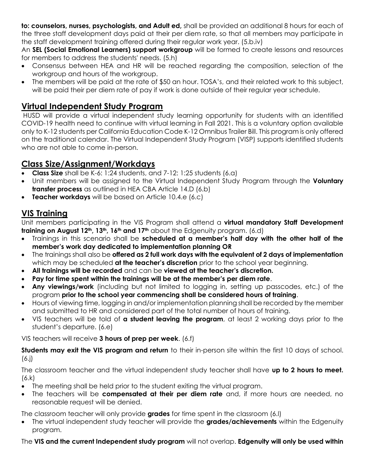**to: counselors, nurses, psychologists, and Adult ed,** shall be provided an additional 8 hours for each of the three staff development days paid at their per diem rate, so that all members may participate in the staff development training offered during their regular work year. (5.b.iv)

An **SEL (Social Emotional Learners) support workgroup** will be formed to create lessons and resources for members to address the students' needs. (5.h)

- Consensus between HEA and HR will be reached regarding the composition, selection of the workgroup and hours of the workgroup.
- The members will be paid at the rate of \$50 an hour. TOSA's, and their related work to this subject, will be paid their per diem rate of pay if work is done outside of their regular year schedule.

### **Virtual Independent Study Program**

HUSD will provide a virtual independent study learning opportunity for students with an identified COVID-19 health need to continue with virtual learning in Fall 2021. This is a voluntary option available only to K-12 students per California Education Code K-12 Omnibus Trailer Bill. This program is only offered on the traditional calendar. The Virtual Independent Study Program (VISP) supports identified students who are not able to come in-person.

## **Class Size/Assignment/Workdays**

- **Class Size** shall be K-6: 1:24 students, and 7-12: 1:25 students (6.a)
- Unit members will be assigned to the Virtual Independent Study Program through the **Voluntary transfer process** as outlined in HEA CBA Article 14.D (6.b)
- **Teacher workdays** will be based on Article 10.4.e (6.c)

## **VIS Training**

Unit members participating in the VIS Program shall attend a **virtual mandatory Staff Development training on August 12th, 13th, 16th and 17th** about the Edgenuity program. (6.d)

- Trainings in this scenario shall be **scheduled at a member's half day with the other half of the member's work day dedicated to implementation planning OR**
- The trainings shall also be **offered as 2 full work days with the equivalent of 2 days of implementation** which may be scheduled **at the teacher's discretion** prior to the school year beginning.
- **All trainings will be recorded** and can be **viewed at the teacher's discretion.**
- **Pay for time spent within the trainings will be at the member's per diem rate**.
- **Any viewings/work** (including but not limited to logging in, setting up passcodes, etc.) of the program **prior to the school year commencing shall be considered hours of training**.
- Hours of viewing time, logging in and/or implementation planning shall be recorded by the member and submitted to HR and considered part of the total number of hours of training.
- VIS teachers will be told of **a student leaving the program**, at least 2 working days prior to the student's departure. (6.e)

VIS teachers will receive **3 hours of prep per week**. (6.f)

**Students may exit the VIS program and return** to their in-person site within the first 10 days of school. (6.j)

The classroom teacher and the virtual independent study teacher shall have **up to 2 hours to meet.** (6.k)

- The meeting shall be held prior to the student exiting the virtual program.
- The teachers will be **compensated at their per diem rate** and, if more hours are needed, no reasonable request will be denied.

The classroom teacher will only provide **grades** for time spent in the classroom (6.l)

• The virtual independent study teacher will provide the **grades/achievements** within the Edgenuity program.

#### The **VIS and the current Independent study program** will not overlap. **Edgenuity will only be used within**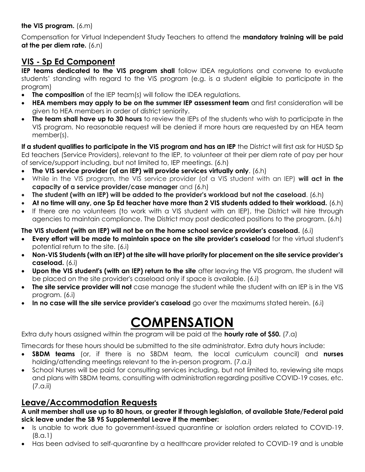#### **the VIS program.** (6.m)

Compensation for Virtual Independent Study Teachers to attend the **mandatory training will be paid at the per diem rate.** (6.n)

### **VIS - Sp Ed Component**

**IEP teams dedicated to the VIS program shall** follow IDEA regulations and convene to evaluate students' standing with regard to the VIS program (e.g. is a student eligible to participate in the program)

- **The composition** of the IEP team(s) will follow the IDEA regulations.
- **HEA members may apply to be on the summer IEP assessment team** and first consideration will be given to HEA members in order of district seniority.
- **The team shall have up to 30 hours** to review the IEPs of the students who wish to participate in the VIS program. No reasonable request will be denied if more hours are requested by an HEA team member(s).

**If a student qualifies to participate in the VIS program and has an IEP** the District will first ask for HUSD Sp Ed teachers (Service Providers), relevant to the IEP, to volunteer at their per diem rate of pay per hour of service/support including, but not limited to, IEP meetings. (6.h)

- **The VIS service provider (of an IEP) will provide services virtually only**. (6.h)
- While in the VIS program, the VIS service provider (of a VIS student with an IEP) **will act in the capacity of a service provider/case manager** and (6.h)
- **The student (with an IEP) will be added to the provider's workload but not the caseload**. (6.h)
- **At no time will any, one Sp Ed teacher have more than 2 VIS students added to their workload.** (6.h)
- If there are no volunteers (to work with a VIS student with an IEP), the District will hire through agencies to maintain compliance. The District may post dedicated positions to the program. (6.h)

#### **The VIS student (with an IEP) will not be on the home school service provider's caseload.** (6.i)

- **Every effort will be made to maintain space on the site provider's caseload** for the virtual student's potential return to the site. (6.i)
- **Non-VIS Students (with an IEP) at the site will have priority for placement on the site service provider's caseload.** (6.i)
- **Upon the VIS student's (with an IEP) return to the site** after leaving the VIS program, the student will be placed on the site provider's caseload only if space is available. (6.i)
- **The site service provider will not** case manage the student while the student with an IEP is in the VIS program. (6.i)
- **In no case will the site service provider's caseload** go over the maximums stated herein. (6.i)

# **COMPENSATION**

Extra duty hours assigned within the program will be paid at the **hourly rate of \$50.** (7.a)

Timecards for these hours should be submitted to the site administrator. Extra duty hours include:

- **SBDM teams** (or, if there is no SBDM team, the local curriculum council) and **nurses**  holding/attending meetings relevant to the in-person program. (7.a.i)
- School Nurses will be paid for consulting services including, but not limited to, reviewing site maps and plans with SBDM teams, consulting with administration regarding positive COVID-19 cases, etc. (7.a.ii)

### **Leave/Accommodation Requests**

**A unit member shall use up to 80 hours, or greater if through legislation, of available State/Federal paid sick leave under the SB 95 Supplemental Leave if the member:**

- Is unable to work due to government-issued quarantine or isolation orders related to COVID-19. (8.a.1)
- Has been advised to self-quarantine by a healthcare provider related to COVID-19 and is unable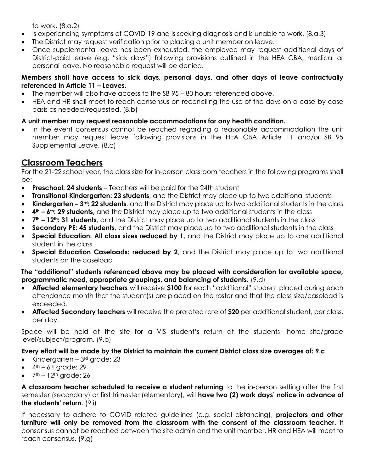to work. (8.a.2)

- Is experiencing symptoms of COVID-19 and is seeking diagnosis and is unable to work. (8.a.3)
- The District may request verification prior to placing a unit member on leave.
- Once supplemental leave has been exhausted, the employee may request additional days of District-paid leave (e.g. "sick days") following provisions outlined in the HEA CBA, medical or personal leave. No reasonable request will be denied.

#### **Members shall have access to sick days, personal days, and other days of leave contractually referenced in Article 11 – Leaves.**

- The member will also have access to the SB 95 80 hours referenced above.
- HEA and HR shall meet to reach consensus on reconciling the use of the days on a case-by-case basis as needed/requested. (8.b)

#### **A unit member may request reasonable accommodations for any health condition.**

• In the event consensus cannot be reached regarding a reasonable accommodation the unit member may request leave following provisions in the HEA CBA Article 11 and/or SB 95 Supplemental Leave. (8.c)

#### **Classroom Teachers**

For the 21-22 school year, the class size for in-person classroom teachers in the following programs shall be:

- **Preschool: 24 students** Teachers will be paid for the 24th student
- **Transitional Kindergarten: 23 students**, and the District may place up to two additional students
- **Kindergarten – 3rd: 22 students**, and the District may place up to two additional students in the class
- **4th – 6th: 29 students,** and the District may place up to two additional students in the class
- **7th – 12th: 31 students**, and the District may place up to two additional students in the class
- **Secondary PE: 45 students**, and the District may place up to two additional students in the class
- **Special Education: All class sizes reduced by 1**, and the District may place up to one additional student in the class
- **Special Education Caseloads: reduced by 2**, and the District may place up to two additional students on the caseload

#### **The "additional" students referenced above may be placed with consideration for available space, programmatic need, appropriate groupings, and balancing of students.** (9.d)

- **Affected elementary teachers** will receive **\$100** for each "additional" student placed during each attendance month that the student(s) are placed on the roster and that the class size/caseload is exceeded.
- **Affected Secondary teachers** will receive the prorated rate of **\$20** per additional student, per class, per day.

Space will be held at the site for a VIS student's return at the students' home site/grade level/subject/program. (9.b)

#### **Every effort will be made by the District to maintain the current District class size averages of: 9.c**

- Kindergarten  $3<sup>rd</sup>$  grade: 23
- $\bullet$  4<sup>th</sup> 6<sup>th</sup> grade: 29
- $\bullet$   $7<sup>th</sup> 12<sup>th</sup>$  grade: 26

**A classroom teacher scheduled to receive a student returning** to the in-person setting after the first semester (secondary) or first trimester (elementary), will **have two (2) work days' notice in advance of the students' return.** (9.i)

If necessary to adhere to COVID related guidelines (e.g. social distancing), **projectors and other furniture will only be removed from the classroom with the consent of the classroom teacher.** If consensus cannot be reached between the site admin and the unit member, HR and HEA will meet to reach consensus. (9.g)